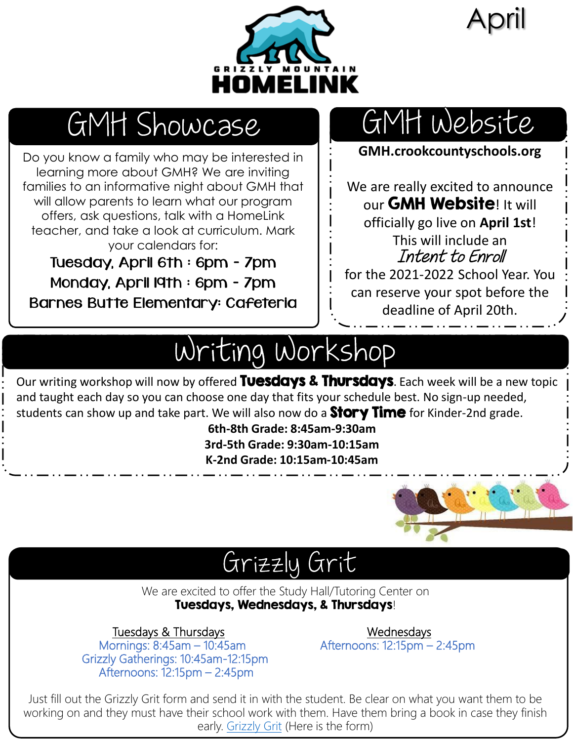

April

## GMH Showcase

Do you know a family who may be interested in learning more about GMH? We are inviting families to an informative night about GMH that will allow parents to learn what our program offers, ask questions, talk with a HomeLink teacher, and take a look at curriculum. Mark your calendars for:

Tuesday, April 6th : 6pm - 7pm Monday, April 19th : 6pm - 7pm Barnes Butte Elementary: Cafeteria

# GMH Website

**GMH.crookcountyschools.org**

We are really excited to announce our GMH Website! It will officially go live on **April 1st**! This will include an Intent to Enroll

for the 2021-2022 School Year. You can reserve your spot before the deadline of April 20th.

# Writing Workshop

Our writing workshop will now by offered Tuesdays & Thursdays. Each week will be a new topic and taught each day so you can choose one day that fits your schedule best. No sign-up needed, students can show up and take part. We will also now do a **Story Time** for Kinder-2nd grade.

**6th-8th Grade: 8:45am-9:30am 3rd-5th Grade: 9:30am-10:15am K-2nd Grade: 10:15am-10:45am**





We are excited to offer the Study Hall/Tutoring Center on Tuesdays, Wednesdays, & Thursdays!

Tuesdays & Thursdays New Realth Studies and Mednesdays New York Wednesdays

Mornings: 8:45am – 10:45am **Afternoons: 12:15pm – 2:45pm** Grizzly Gatherings: 10:45am-12:15pm Afternoons: 12:15pm – 2:45pm

Just fill out the Grizzly Grit form and send it in with the student. Be clear on what you want them to be working on and they must have their school work with them. Have them bring a book in case they finish early. [Grizzly Grit](https://drive.google.com/file/d/1HOuFfhFJ8IZsl_phQPbqO09WWM-NGtjp/view) (Here is the form)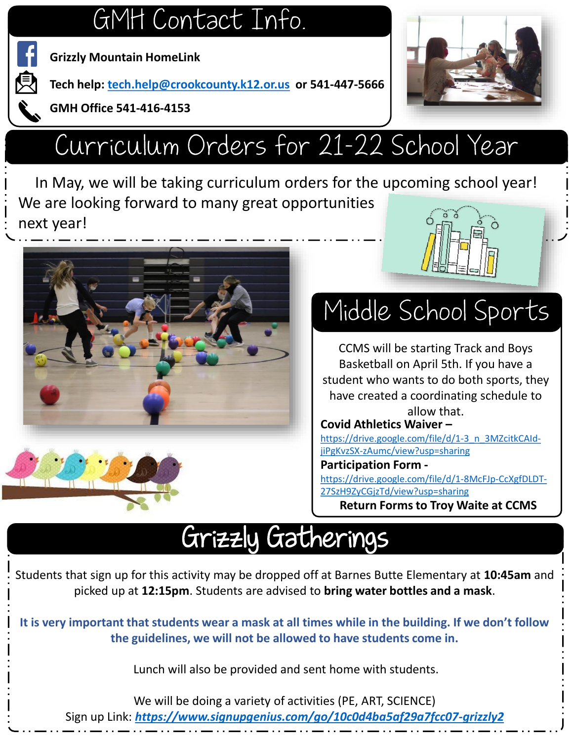#### GMH Contact Info.



**Grizzly Mountain HomeLink**

**Tech help: [tech.help@crookcounty.k12.or.us](mailto:tech.help@crookcounty.k12.or.us) or 541-447-5666**



**GMH Office 541-416-4153**

# Curriculum Orders for 21-22 School Year

In May, we will be taking curriculum orders for the upcoming school year! We are looking forward to many great opportunities next year!





#### Middle School Sports

CCMS will be starting Track and Boys Basketball on April 5th. If you have a student who wants to do both sports, they have created a coordinating schedule to allow that.

#### **Covid Athletics Waiver –**

[https://drive.google.com/file/d/1-3\\_n\\_3MZcitkCAId](https://drive.google.com/file/d/1-3_n_3MZcitkCAId-jiPgKvzSX-zAumc/view?usp=sharing)jiPgKvzSX-zAumc/view?usp=sharing

**Participation Form**  [https://drive.google.com/file/d/1-8McFJp-CcXgfDLDT-](https://drive.google.com/file/d/1-8McFJp-CcXgfDLDT-27SzH9ZyCGjzTd/view?usp=sharing)27SzH9ZyCGjzTd/view?usp=sharing

**Return Forms to Troy Waite at CCMS**

### Grizzly Gatherings

Students that sign up for this activity may be dropped off at Barnes Butte Elementary at **10:45am** and picked up at **12:15pm**. Students are advised to **bring water bottles and a mask**.

**It is very important that students wear a mask at all times while in the building. If we don't follow the guidelines, we will not be allowed to have students come in.**

Lunch will also be provided and sent home with students.

We will be doing a variety of activities (PE, ART, SCIENCE) Sign up Link: *<https://www.signupgenius.com/go/10c0d4ba5af29a7fcc07-grizzly2>*